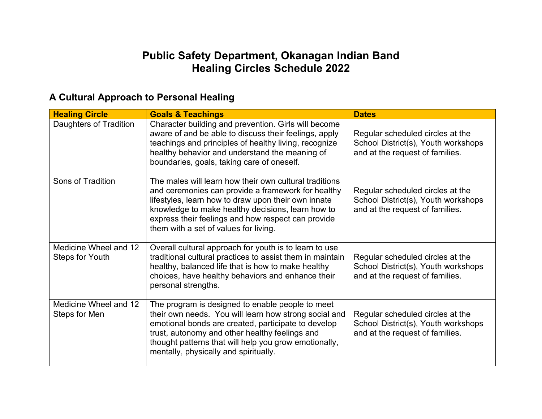## **Public Safety Department, Okanagan Indian Band Healing Circles Schedule 2022**

| <b>Healing Circle</b>                           | <b>Goals &amp; Teachings</b>                                                                                                                                                                                                                                                                                            | <b>Dates</b>                                                                                               |
|-------------------------------------------------|-------------------------------------------------------------------------------------------------------------------------------------------------------------------------------------------------------------------------------------------------------------------------------------------------------------------------|------------------------------------------------------------------------------------------------------------|
| Daughters of Tradition                          | Character building and prevention. Girls will become<br>aware of and be able to discuss their feelings, apply<br>teachings and principles of healthy living, recognize<br>healthy behavior and understand the meaning of<br>boundaries, goals, taking care of oneself.                                                  | Regular scheduled circles at the<br>School District(s), Youth workshops<br>and at the request of families. |
| Sons of Tradition                               | The males will learn how their own cultural traditions<br>and ceremonies can provide a framework for healthy<br>lifestyles, learn how to draw upon their own innate<br>knowledge to make healthy decisions, learn how to<br>express their feelings and how respect can provide<br>them with a set of values for living. | Regular scheduled circles at the<br>School District(s), Youth workshops<br>and at the request of families. |
| Medicine Wheel and 12<br><b>Steps for Youth</b> | Overall cultural approach for youth is to learn to use<br>traditional cultural practices to assist them in maintain<br>healthy, balanced life that is how to make healthy<br>choices, have healthy behaviors and enhance their<br>personal strengths.                                                                   | Regular scheduled circles at the<br>School District(s), Youth workshops<br>and at the request of families. |
| Medicine Wheel and 12<br>Steps for Men          | The program is designed to enable people to meet<br>their own needs. You will learn how strong social and<br>emotional bonds are created, participate to develop<br>trust, autonomy and other healthy feelings and<br>thought patterns that will help you grow emotionally,<br>mentally, physically and spiritually.    | Regular scheduled circles at the<br>School District(s), Youth workshops<br>and at the request of families. |

## **A Cultural Approach to Personal Healing**